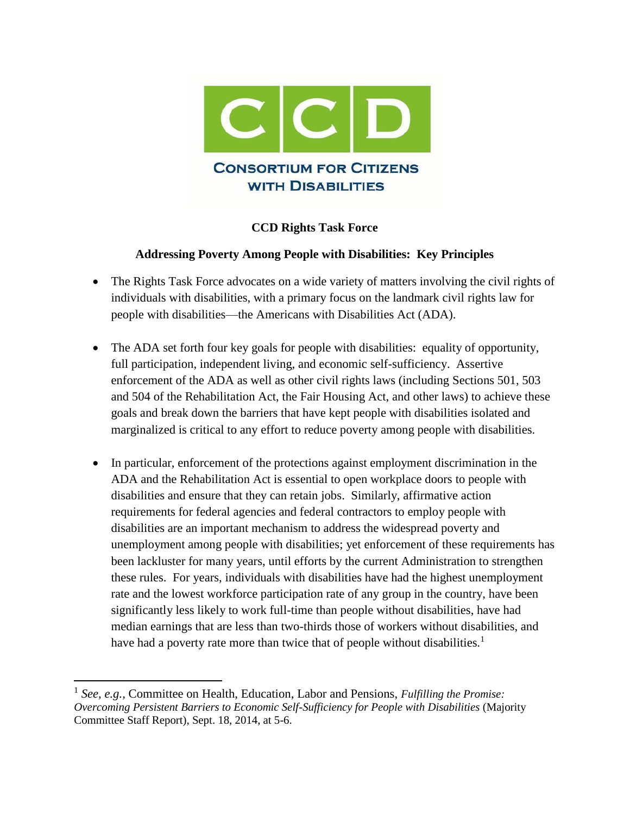

## **CCD Rights Task Force**

## **Addressing Poverty Among People with Disabilities: Key Principles**

- The Rights Task Force advocates on a wide variety of matters involving the civil rights of individuals with disabilities, with a primary focus on the landmark civil rights law for people with disabilities—the Americans with Disabilities Act (ADA).
- The ADA set forth four key goals for people with disabilities: equality of opportunity, full participation, independent living, and economic self-sufficiency. Assertive enforcement of the ADA as well as other civil rights laws (including Sections 501, 503 and 504 of the Rehabilitation Act, the Fair Housing Act, and other laws) to achieve these goals and break down the barriers that have kept people with disabilities isolated and marginalized is critical to any effort to reduce poverty among people with disabilities.
- In particular, enforcement of the protections against employment discrimination in the ADA and the Rehabilitation Act is essential to open workplace doors to people with disabilities and ensure that they can retain jobs. Similarly, affirmative action requirements for federal agencies and federal contractors to employ people with disabilities are an important mechanism to address the widespread poverty and unemployment among people with disabilities; yet enforcement of these requirements has been lackluster for many years, until efforts by the current Administration to strengthen these rules. For years, individuals with disabilities have had the highest unemployment rate and the lowest workforce participation rate of any group in the country, have been significantly less likely to work full-time than people without disabilities, have had median earnings that are less than two-thirds those of workers without disabilities, and have had a poverty rate more than twice that of people without disabilities.<sup>1</sup>

 $\overline{a}$ 

<sup>&</sup>lt;sup>1</sup> See, e.g., Committee on Health, Education, Labor and Pensions, *Fulfilling the Promise: Overcoming Persistent Barriers to Economic Self-Sufficiency for People with Disabilities* (Majority Committee Staff Report), Sept. 18, 2014, at 5-6.